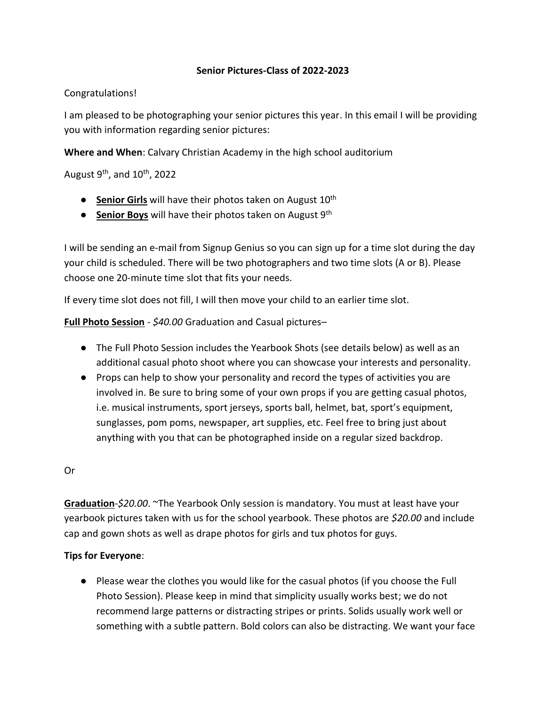### **Senior Pictures-Class of 2022-2023**

## Congratulations!

I am pleased to be photographing your senior pictures this year. In this email I will be providing you with information regarding senior pictures:

**Where and When**: Calvary Christian Academy in the high school auditorium

August 9<sup>th</sup>, and 10<sup>th</sup>, 2022

- **Senior Girls** will have their photos taken on August 10<sup>th</sup>
- **Senior Boys** will have their photos taken on August 9<sup>th</sup>

I will be sending an e-mail from Signup Genius so you can sign up for a time slot during the day your child is scheduled. There will be two photographers and two time slots (A or B). Please choose one 20-minute time slot that fits your needs.

If every time slot does not fill, I will then move your child to an earlier time slot.

**Full Photo Session** - *\$40.00* Graduation and Casual pictures–

- The Full Photo Session includes the Yearbook Shots (see details below) as well as an additional casual photo shoot where you can showcase your interests and personality.
- Props can help to show your personality and record the types of activities you are involved in. Be sure to bring some of your own props if you are getting casual photos, i.e. musical instruments, sport jerseys, sports ball, helmet, bat, sport's equipment, sunglasses, pom poms, newspaper, art supplies, etc. Feel free to bring just about anything with you that can be photographed inside on a regular sized backdrop.

#### Or

**Graduation***-\$20.00*. ~The Yearbook Only session is mandatory. You must at least have your yearbook pictures taken with us for the school yearbook. These photos are *\$20.00* and include cap and gown shots as well as drape photos for girls and tux photos for guys.

# **Tips for Everyone**:

● Please wear the clothes you would like for the casual photos (if you choose the Full Photo Session). Please keep in mind that simplicity usually works best; we do not recommend large patterns or distracting stripes or prints. Solids usually work well or something with a subtle pattern. Bold colors can also be distracting. We want your face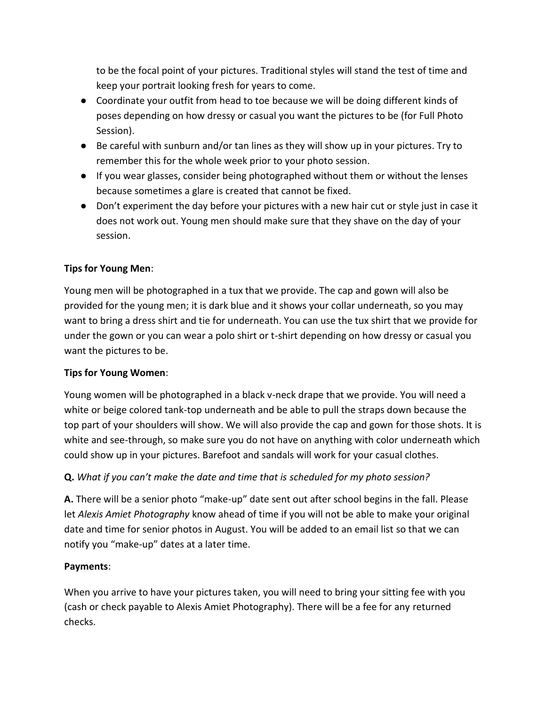to be the focal point of your pictures. Traditional styles will stand the test of time and keep your portrait looking fresh for years to come.

- Coordinate your outfit from head to toe because we will be doing different kinds of poses depending on how dressy or casual you want the pictures to be (for Full Photo Session).
- Be careful with sunburn and/or tan lines as they will show up in your pictures. Try to remember this for the whole week prior to your photo session.
- If you wear glasses, consider being photographed without them or without the lenses because sometimes a glare is created that cannot be fixed.
- Don't experiment the day before your pictures with a new hair cut or style just in case it does not work out. Young men should make sure that they shave on the day of your session.

# **Tips for Young Men**:

Young men will be photographed in a tux that we provide. The cap and gown will also be provided for the young men; it is dark blue and it shows your collar underneath, so you may want to bring a dress shirt and tie for underneath. You can use the tux shirt that we provide for under the gown or you can wear a polo shirt or t-shirt depending on how dressy or casual you want the pictures to be.

# **Tips for Young Women**:

Young women will be photographed in a black v-neck drape that we provide. You will need a white or beige colored tank-top underneath and be able to pull the straps down because the top part of your shoulders will show. We will also provide the cap and gown for those shots. It is white and see-through, so make sure you do not have on anything with color underneath which could show up in your pictures. Barefoot and sandals will work for your casual clothes.

# **Q.** *What if you can't make the date and time that is scheduled for my photo session?*

**A.** There will be a senior photo "make-up" date sent out after school begins in the fall. Please let *Alexis Amiet Photography* know ahead of time if you will not be able to make your original date and time for senior photos in August. You will be added to an email list so that we can notify you "make-up" dates at a later time.

# **Payments**:

When you arrive to have your pictures taken, you will need to bring your sitting fee with you (cash or check payable to Alexis Amiet Photography). There will be a fee for any returned checks.